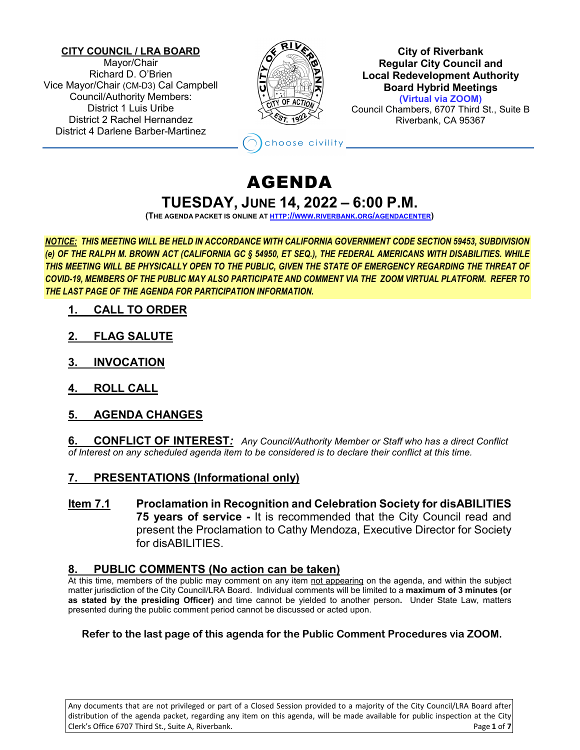#### **CITY COUNCIL / LRA BOARD**

Mayor/Chair Richard D. O'Brien Vice Mayor/Chair (CM-D3) Cal Campbell Council/Authority Members: District 1 Luis Uribe District 2 Rachel Hernandez District 4 Darlene Barber-Martinez



**City of Riverbank Regular City Council and Local Redevelopment Authority Board Hybrid Meetings (Virtual via ZOOM)** Council Chambers, 6707 Third St., Suite B

Riverbank, CA 95367

## AGENDA **TUESDAY, JUNE 14, 2022 – 6:00 P.M.**

hoose civility

**(THE AGENDA PACKET IS ONLINE A[T HTTP://WWW.RIVERBANK.ORG/AGENDACENTER\)](http://www.riverbank.org/agendacenter)**

*NOTICE: THIS MEETING WILL BE HELD IN ACCORDANCE WITH CALIFORNIA GOVERNMENT CODE SECTION 59453, SUBDIVISION (e) OF THE RALPH M. BROWN ACT (CALIFORNIA GC § 54950, ET SEQ.), THE FEDERAL AMERICANS WITH DISABILITIES. WHILE THIS MEETING WILL BE PHYSICALLY OPEN TO THE PUBLIC, GIVEN THE STATE OF EMERGENCY REGARDING THE THREAT OF COVID-19, MEMBERS OF THE PUBLIC MAY ALSO PARTICIPATE AND COMMENT VIA THE ZOOM VIRTUAL PLATFORM. REFER TO THE LAST PAGE OF THE AGENDA FOR PARTICIPATION INFORMATION.*

- **1. CALL TO ORDER**
- **2. FLAG SALUTE**
- **3. INVOCATION**
- **4. ROLL CALL**
- **5. AGENDA CHANGES**

**6. CONFLICT OF INTEREST***: Any Council/Authority Member or Staff who has a direct Conflict of Interest on any scheduled agenda item to be considered is to declare their conflict at this time.*

## **7. PRESENTATIONS (Informational only)**

**Item 7.1 Proclamation in Recognition and Celebration Society for disABILITIES 75 years of service -** It is recommended that the City Council read and present the Proclamation to Cathy Mendoza, Executive Director for Society for disABILITIES.

## **8. PUBLIC COMMENTS (No action can be taken)**

At this time, members of the public may comment on any item not appearing on the agenda, and within the subject matter jurisdiction of the City Council/LRA Board. Individual comments will be limited to a **maximum of 3 minutes (or as stated by the presiding Officer)** and time cannot be yielded to another person**.** Under State Law, matters presented during the public comment period cannot be discussed or acted upon.

#### **Refer to the last page of this agenda for the Public Comment Procedures via ZOOM.**

Any documents that are not privileged or part of a Closed Session provided to a majority of the City Council/LRA Board after distribution of the agenda packet, regarding any item on this agenda, will be made available for public inspection at the City Clerk's Office 6707 Third St., Suite A, Riverbank. Page **1** of **7**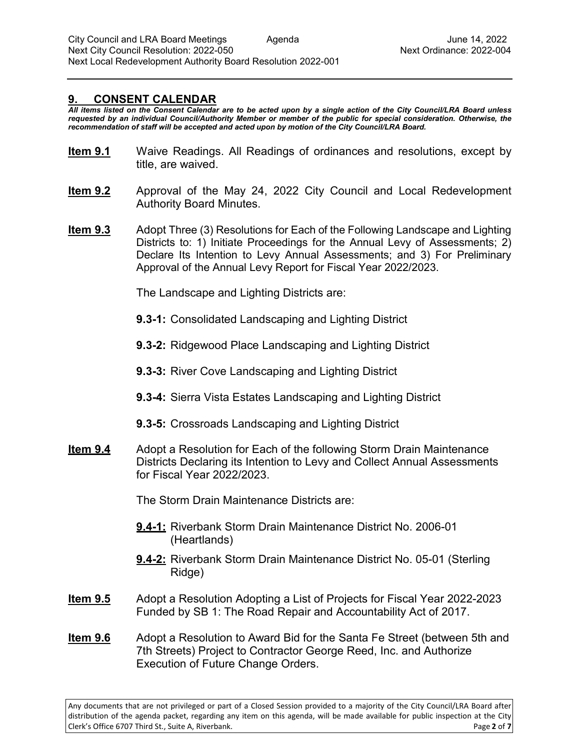#### **9. CONSENT CALENDAR**

*All items listed on the Consent Calendar are to be acted upon by a single action of the City Council/LRA Board unless requested by an individual Council/Authority Member or member of the public for special consideration. Otherwise, the recommendation of staff will be accepted and acted upon by motion of the City Council/LRA Board.*

- **Item 9.1** Waive Readings. All Readings of ordinances and resolutions, except by title, are waived.
- **Item 9.2** Approval of the May 24, 2022 City Council and Local Redevelopment Authority Board Minutes.
- **Item 9.3** Adopt Three (3) Resolutions for Each of the Following Landscape and Lighting Districts to: 1) Initiate Proceedings for the Annual Levy of Assessments; 2) Declare Its Intention to Levy Annual Assessments; and 3) For Preliminary Approval of the Annual Levy Report for Fiscal Year 2022/2023.

The Landscape and Lighting Districts are:

- **9.3-1:** Consolidated Landscaping and Lighting District
- **9.3-2:** Ridgewood Place Landscaping and Lighting District
- **9.3-3:** River Cove Landscaping and Lighting District
- **9.3-4:** Sierra Vista Estates Landscaping and Lighting District
- **9.3-5:** Crossroads Landscaping and Lighting District
- **Item 9.4** Adopt a Resolution for Each of the following Storm Drain Maintenance Districts Declaring its Intention to Levy and Collect Annual Assessments for Fiscal Year 2022/2023.

The Storm Drain Maintenance Districts are:

- **9.4-1:** Riverbank Storm Drain Maintenance District No. 2006-01 (Heartlands)
- **9.4-2:** Riverbank Storm Drain Maintenance District No. 05-01 (Sterling Ridge)
- **Item 9.5** Adopt a Resolution Adopting a List of Projects for Fiscal Year 2022-2023 Funded by SB 1: The Road Repair and Accountability Act of 2017.
- **Item 9.6** Adopt a Resolution to Award Bid for the Santa Fe Street (between 5th and 7th Streets) Project to Contractor George Reed, Inc. and Authorize Execution of Future Change Orders.

Any documents that are not privileged or part of a Closed Session provided to a majority of the City Council/LRA Board after distribution of the agenda packet, regarding any item on this agenda, will be made available for public inspection at the City Clerk's Office 6707 Third St., Suite A, Riverbank. Page **2** of **7**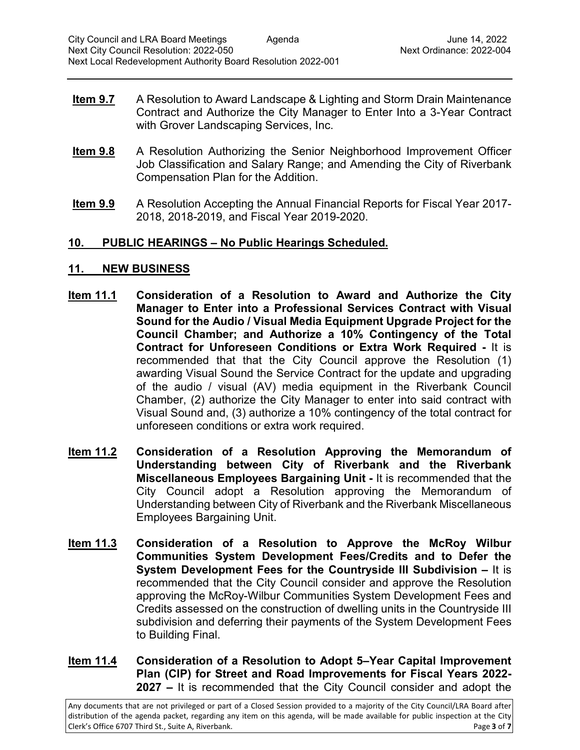- **Item 9.7** A Resolution to Award Landscape & Lighting and Storm Drain Maintenance Contract and Authorize the City Manager to Enter Into a 3-Year Contract with Grover Landscaping Services, Inc.
- **Item 9.8** A Resolution Authorizing the Senior Neighborhood Improvement Officer Job Classification and Salary Range; and Amending the City of Riverbank Compensation Plan for the Addition.
- **Item 9.9** A Resolution Accepting the Annual Financial Reports for Fiscal Year 2017-2018, 2018-2019, and Fiscal Year 2019-2020.

## **10. PUBLIC HEARINGS – No Public Hearings Scheduled.**

## **11. NEW BUSINESS**

- **Item 11.1 Consideration of a Resolution to Award and Authorize the City Manager to Enter into a Professional Services Contract with Visual Sound for the Audio / Visual Media Equipment Upgrade Project for the Council Chamber; and Authorize a 10% Contingency of the Total Contract for Unforeseen Conditions or Extra Work Required -** It is recommended that that the City Council approve the Resolution (1) awarding Visual Sound the Service Contract for the update and upgrading of the audio / visual (AV) media equipment in the Riverbank Council Chamber, (2) authorize the City Manager to enter into said contract with Visual Sound and, (3) authorize a 10% contingency of the total contract for unforeseen conditions or extra work required.
- **Item 11.2 Consideration of a Resolution Approving the Memorandum of Understanding between City of Riverbank and the Riverbank Miscellaneous Employees Bargaining Unit -** It is recommended that the City Council adopt a Resolution approving the Memorandum of Understanding between City of Riverbank and the Riverbank Miscellaneous Employees Bargaining Unit.
- **Item 11.3 Consideration of a Resolution to Approve the McRoy Wilbur Communities System Development Fees/Credits and to Defer the System Development Fees for the Countryside III Subdivision –** It is recommended that the City Council consider and approve the Resolution approving the McRoy-Wilbur Communities System Development Fees and Credits assessed on the construction of dwelling units in the Countryside III subdivision and deferring their payments of the System Development Fees to Building Final.
- **Item 11.4 Consideration of a Resolution to Adopt 5–Year Capital Improvement Plan (CIP) for Street and Road Improvements for Fiscal Years 2022- 2027 –** It is recommended that the City Council consider and adopt the

Any documents that are not privileged or part of a Closed Session provided to a majority of the City Council/LRA Board after distribution of the agenda packet, regarding any item on this agenda, will be made available for public inspection at the City Clerk's Office 6707 Third St., Suite A, Riverbank. Page **3** of **7**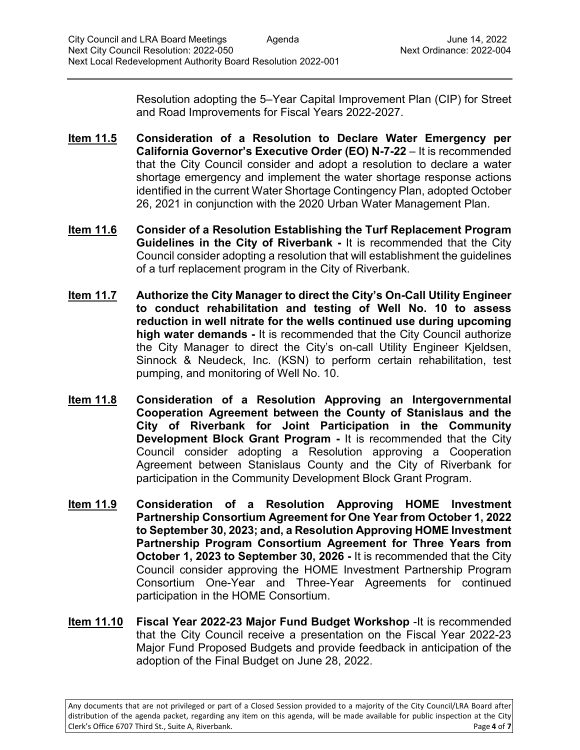Resolution adopting the 5–Year Capital Improvement Plan (CIP) for Street and Road Improvements for Fiscal Years 2022-2027.

- **Item 11.5 Consideration of a Resolution to Declare Water Emergency per California Governor's Executive Order (EO) N-7-22** – It is recommended that the City Council consider and adopt a resolution to declare a water shortage emergency and implement the water shortage response actions identified in the current Water Shortage Contingency Plan, adopted October 26, 2021 in conjunction with the 2020 Urban Water Management Plan.
- **Item 11.6 Consider of a Resolution Establishing the Turf Replacement Program Guidelines in the City of Riverbank -** It is recommended that the City Council consider adopting a resolution that will establishment the guidelines of a turf replacement program in the City of Riverbank.
- **Item 11.7 Authorize the City Manager to direct the City's On-Call Utility Engineer to conduct rehabilitation and testing of Well No. 10 to assess reduction in well nitrate for the wells continued use during upcoming high water demands -** It is recommended that the City Council authorize the City Manager to direct the City's on-call Utility Engineer Kjeldsen, Sinnock & Neudeck, Inc. (KSN) to perform certain rehabilitation, test pumping, and monitoring of Well No. 10.
- **Item 11.8 Consideration of a Resolution Approving an Intergovernmental Cooperation Agreement between the County of Stanislaus and the City of Riverbank for Joint Participation in the Community Development Block Grant Program -** It is recommended that the City Council consider adopting a Resolution approving a Cooperation Agreement between Stanislaus County and the City of Riverbank for participation in the Community Development Block Grant Program.
- **Item 11.9 Consideration of a Resolution Approving HOME Investment Partnership Consortium Agreement for One Year from October 1, 2022 to September 30, 2023; and, a Resolution Approving HOME Investment Partnership Program Consortium Agreement for Three Years from October 1, 2023 to September 30, 2026 -** It is recommended that the City Council consider approving the HOME Investment Partnership Program Consortium One-Year and Three-Year Agreements for continued participation in the HOME Consortium.
- **Item 11.10 Fiscal Year 2022-23 Major Fund Budget Workshop** -It is recommended that the City Council receive a presentation on the Fiscal Year 2022-23 Major Fund Proposed Budgets and provide feedback in anticipation of the adoption of the Final Budget on June 28, 2022.

Any documents that are not privileged or part of a Closed Session provided to a majority of the City Council/LRA Board after distribution of the agenda packet, regarding any item on this agenda, will be made available for public inspection at the City Clerk's Office 6707 Third St., Suite A, Riverbank. Page **4** of **7**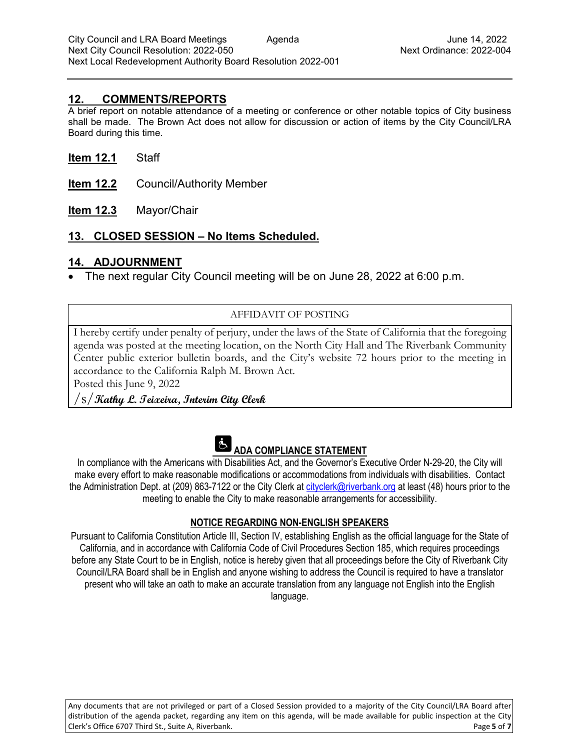## **12. COMMENTS/REPORTS**

A brief report on notable attendance of a meeting or conference or other notable topics of City business shall be made. The Brown Act does not allow for discussion or action of items by the City Council/LRA Board during this time.

#### **Item 12.1** Staff

- **Item 12.2** Council/Authority Member
- **Item 12.3** Mayor/Chair

## **13. CLOSED SESSION – No Items Scheduled.**

## **14. ADJOURNMENT**

• The next regular City Council meeting will be on June 28, 2022 at 6:00 p.m.

## AFFIDAVIT OF POSTING

I hereby certify under penalty of perjury, under the laws of the State of California that the foregoing agenda was posted at the meeting location, on the North City Hall and The Riverbank Community Center public exterior bulletin boards, and the City's website 72 hours prior to the meeting in accordance to the California Ralph M. Brown Act.

Posted this June 9, 2022

/s/**Kathy L. Teixeira, Interim City Clerk**



# **ADA COMPLIANCE STATEMENT**

In compliance with the Americans with Disabilities Act, and the Governor's Executive Order N-29-20, the City will make every effort to make reasonable modifications or accommodations from individuals with disabilities. Contact the Administration Dept. at (209) 863-7122 or the City Clerk at [cityclerk@riverbank.org](mailto:cityclerk@riverbank.org) at least (48) hours prior to the meeting to enable the City to make reasonable arrangements for accessibility.

#### **NOTICE REGARDING NON-ENGLISH SPEAKERS**

Pursuant to California Constitution Article III, Section IV, establishing English as the official language for the State of California, and in accordance with California Code of Civil Procedures Section 185, which requires proceedings before any State Court to be in English, notice is hereby given that all proceedings before the City of Riverbank City Council/LRA Board shall be in English and anyone wishing to address the Council is required to have a translator present who will take an oath to make an accurate translation from any language not English into the English language.

Any documents that are not privileged or part of a Closed Session provided to a majority of the City Council/LRA Board after distribution of the agenda packet, regarding any item on this agenda, will be made available for public inspection at the City Clerk's Office 6707 Third St., Suite A, Riverbank. Page **5** of **7**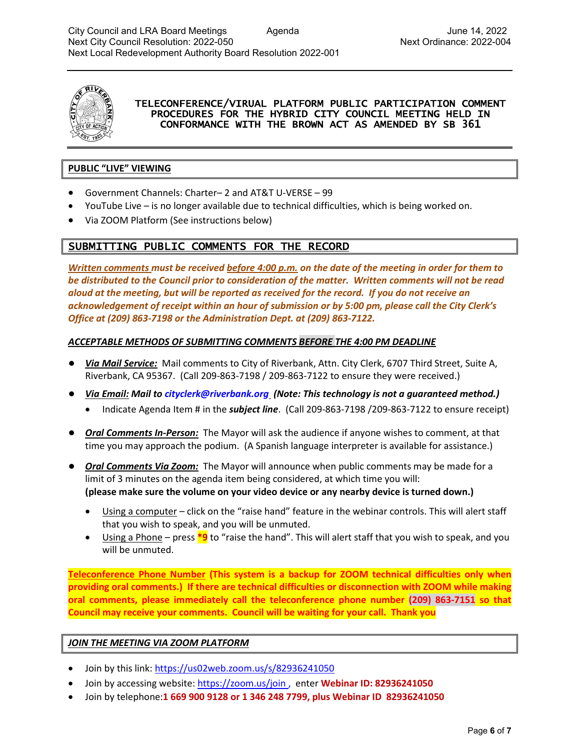

#### TELECONFERENCE/VIRUAL PLATFORM PUBLIC PARTICIPATION COMMENT PROCEDURES FOR THE HYBRID CITY COUNCIL MEETING HELD IN CONFORMANCE WITH THE BROWN ACT AS AMENDED BY SB 361

#### **PUBLIC "LIVE" VIEWING**

- Government Channels: Charter– 2 and AT&T U-VERSE 99
- YouTube Live is no longer available due to technical difficulties, which is being worked on.
- Via ZOOM Platform (See instructions below)

## SUBMITTING PUBLIC COMMENTS FOR THE RECORD

*Written comments must be received before 4:00 p.m. on the date of the meeting in order for them to be distributed to the Council prior to consideration of the matter. Written comments will not be read aloud at the meeting, but will be reported as received for the record. If you do not receive an acknowledgement of receipt within an hour of submission or by 5:00 pm, please call the City Clerk's Office at (209) 863-7198 or the Administration Dept. at (209) 863-7122.*

#### *ACCEPTABLE METHODS OF SUBMITTING COMMENTS BEFORE THE 4:00 PM DEADLINE*

- *Via Mail Service:* Mail comments to City of Riverbank, Attn. City Clerk, 6707 Third Street, Suite A, Riverbank, CA 95367. (Call 209-863-7198 / 209-863-7122 to ensure they were received.)
- *Via Email: Mail to [cityclerk@riverbank.org](mailto:cityclerk@riverbank.org) (Note: This technology is not a guaranteed method.)* 
	- Indicate Agenda Item # in the *subject line*. (Call 209-863-7198 /209-863-7122 to ensure receipt)
- *Oral Comments In-Person:* The Mayor will ask the audience if anyone wishes to comment, at that time you may approach the podium. (A Spanish language interpreter is available for assistance.)
- *Oral Comments Via Zoom:* The Mayor will announce when public comments may be made for a limit of 3 minutes on the agenda item being considered, at which time you will: **(please make sure the volume on your video device or any nearby device is turned down.)**
	- Using a computer click on the "raise hand" feature in the webinar controls. This will alert staff that you wish to speak, and you will be unmuted.
	- Using a Phone press **\*9** to "raise the hand". This will alert staff that you wish to speak, and you will be unmuted.

**Teleconference Phone Number (This system is a backup for ZOOM technical difficulties only when providing oral comments.) If there are technical difficulties or disconnection with ZOOM while making oral comments, please immediately call the teleconference phone number (209) 863-7151 so that Council may receive your comments. Council will be waiting for your call. Thank you**

#### *JOIN THE MEETING VIA ZOOM PLATFORM*

- Join by this link: <https://us02web.zoom.us/s/82936241050>
- Join by accessing website[: https://zoom.us/join](https://zoom.us/join) , enter **Webinar ID: 82936241050**
- Join by telephone:**1 669 900 9128 or 1 346 248 7799, plus Webinar ID 82936241050**